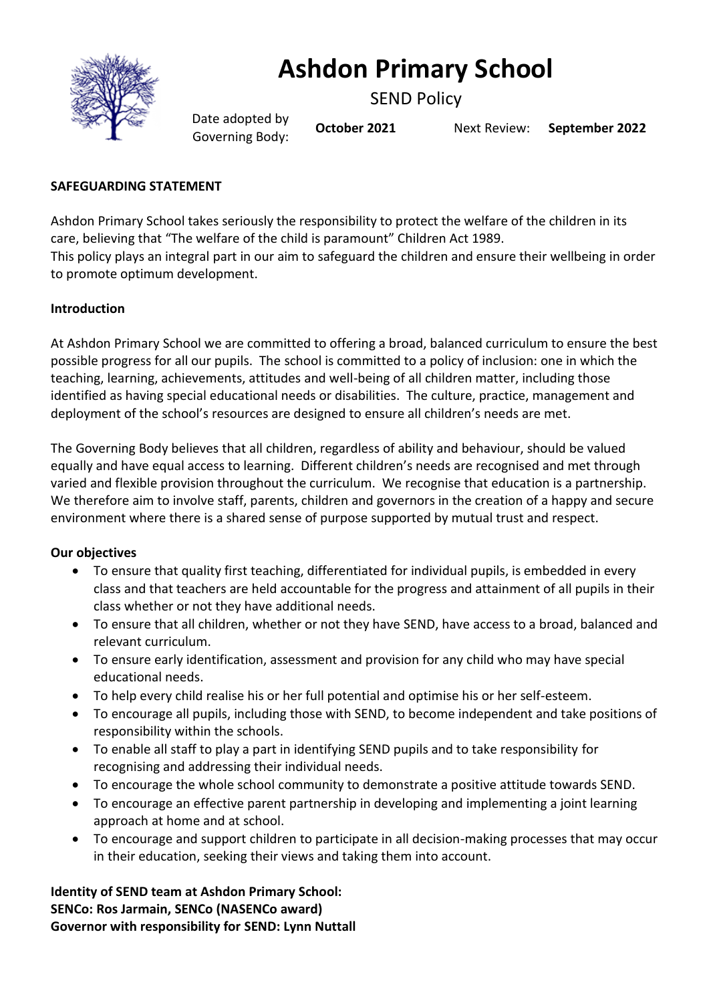

# **Ashdon Primary School**

SEND Policy

Date adopted by Governing Body: **October <sup>2021</sup>** Next Review: **September 2022**

#### **SAFEGUARDING STATEMENT**

Ashdon Primary School takes seriously the responsibility to protect the welfare of the children in its care, believing that "The welfare of the child is paramount" Children Act 1989. This policy plays an integral part in our aim to safeguard the children and ensure their wellbeing in order to promote optimum development.

#### **Introduction**

At Ashdon Primary School we are committed to offering a broad, balanced curriculum to ensure the best possible progress for all our pupils. The school is committed to a policy of inclusion: one in which the teaching, learning, achievements, attitudes and well-being of all children matter, including those identified as having special educational needs or disabilities. The culture, practice, management and deployment of the school's resources are designed to ensure all children's needs are met.

The Governing Body believes that all children, regardless of ability and behaviour, should be valued equally and have equal access to learning. Different children's needs are recognised and met through varied and flexible provision throughout the curriculum. We recognise that education is a partnership. We therefore aim to involve staff, parents, children and governors in the creation of a happy and secure environment where there is a shared sense of purpose supported by mutual trust and respect.

#### **Our objectives**

- To ensure that quality first teaching, differentiated for individual pupils, is embedded in every class and that teachers are held accountable for the progress and attainment of all pupils in their class whether or not they have additional needs.
- To ensure that all children, whether or not they have SEND, have access to a broad, balanced and relevant curriculum.
- To ensure early identification, assessment and provision for any child who may have special educational needs.
- To help every child realise his or her full potential and optimise his or her self-esteem.
- To encourage all pupils, including those with SEND, to become independent and take positions of responsibility within the schools.
- To enable all staff to play a part in identifying SEND pupils and to take responsibility for recognising and addressing their individual needs.
- To encourage the whole school community to demonstrate a positive attitude towards SEND.
- To encourage an effective parent partnership in developing and implementing a joint learning approach at home and at school.
- To encourage and support children to participate in all decision-making processes that may occur in their education, seeking their views and taking them into account.

**Identity of SEND team at Ashdon Primary School: SENCo: Ros Jarmain, SENCo (NASENCo award) Governor with responsibility for SEND: Lynn Nuttall**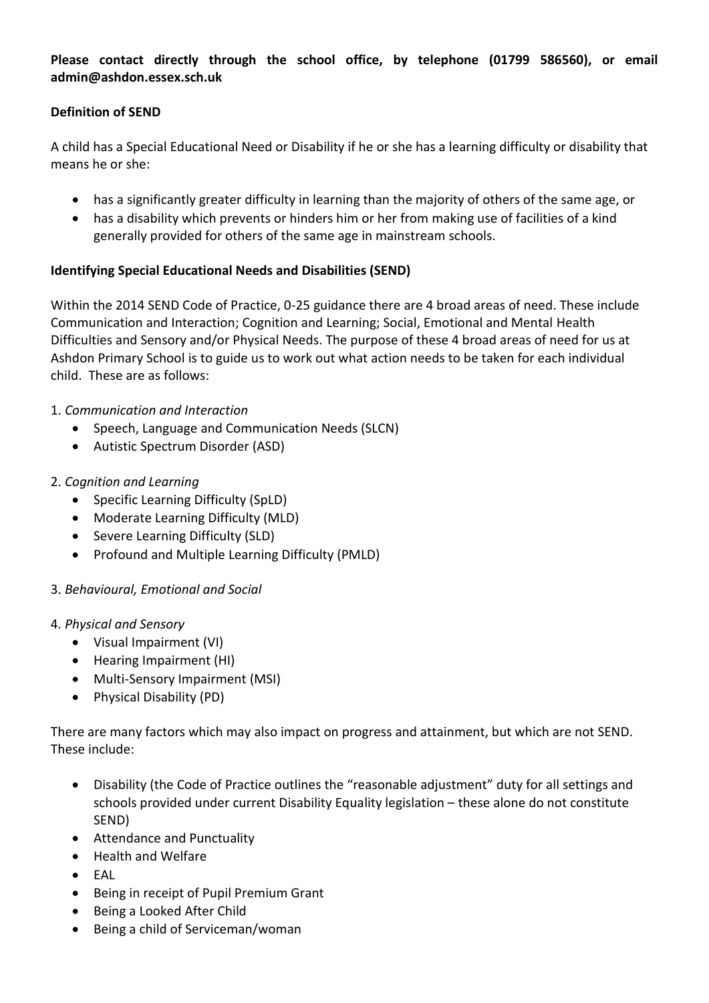**Please contact directly through the school office, by telephone (01799 586560), or email admin@ashdon.essex.sch.uk**

## **Definition of SEND**

A child has a Special Educational Need or Disability if he or she has a learning difficulty or disability that means he or she:

- has a significantly greater difficulty in learning than the majority of others of the same age, or
- has a disability which prevents or hinders him or her from making use of facilities of a kind generally provided for others of the same age in mainstream schools.

# **Identifying Special Educational Needs and Disabilities (SEND)**

Within the 2014 SEND Code of Practice, 0-25 guidance there are 4 broad areas of need. These include Communication and Interaction; Cognition and Learning; Social, Emotional and Mental Health Difficulties and Sensory and/or Physical Needs. The purpose of these 4 broad areas of need for us at Ashdon Primary School is to guide us to work out what action needs to be taken for each individual child. These are as follows:

# 1. *Communication and Interaction*

- Speech, Language and Communication Needs (SLCN)
- Autistic Spectrum Disorder (ASD)

# 2. *Cognition and Learning*

- Specific Learning Difficulty (SpLD)
- Moderate Learning Difficulty (MLD)
- Severe Learning Difficulty (SLD)
- Profound and Multiple Learning Difficulty (PMLD)

# 3. *Behavioural, Emotional and Social*

#### 4. *Physical and Sensory*

- Visual Impairment (VI)
- Hearing Impairment (HI)
- Multi-Sensory Impairment (MSI)
- Physical Disability (PD)

There are many factors which may also impact on progress and attainment, but which are not SEND. These include:

- Disability (the Code of Practice outlines the "reasonable adjustment" duty for all settings and schools provided under current Disability Equality legislation – these alone do not constitute SEND)
- Attendance and Punctuality
- Health and Welfare
- EAL
- Being in receipt of Pupil Premium Grant
- Being a Looked After Child
- Being a child of Serviceman/woman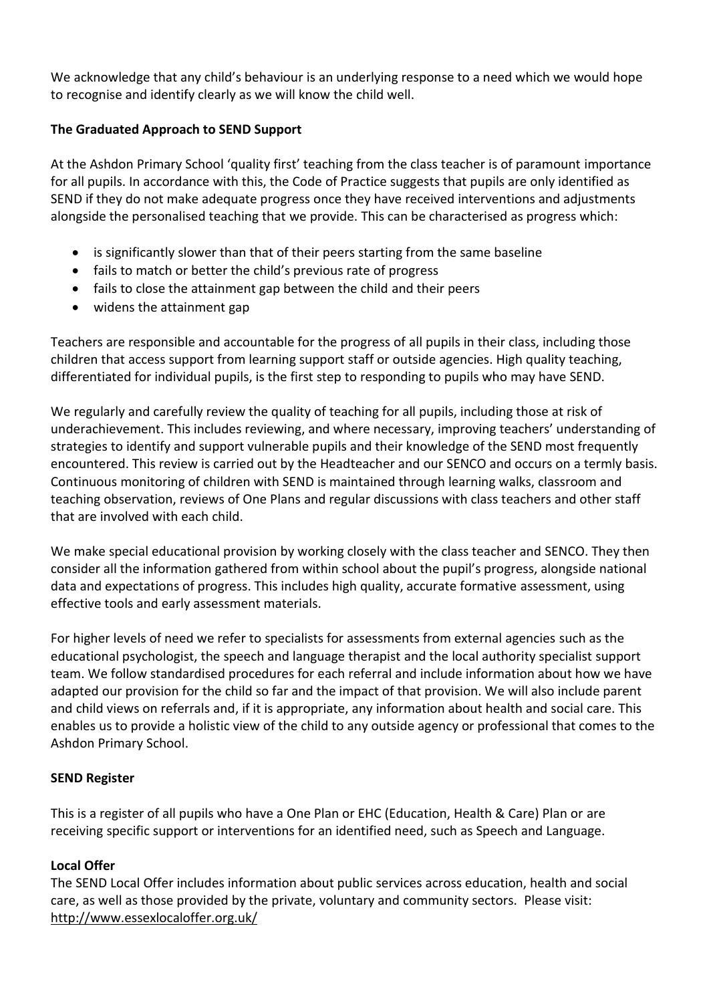We acknowledge that any child's behaviour is an underlying response to a need which we would hope to recognise and identify clearly as we will know the child well.

# **The Graduated Approach to SEND Support**

At the Ashdon Primary School 'quality first' teaching from the class teacher is of paramount importance for all pupils. In accordance with this, the Code of Practice suggests that pupils are only identified as SEND if they do not make adequate progress once they have received interventions and adjustments alongside the personalised teaching that we provide. This can be characterised as progress which:

- is significantly slower than that of their peers starting from the same baseline
- fails to match or better the child's previous rate of progress
- fails to close the attainment gap between the child and their peers
- widens the attainment gap

Teachers are responsible and accountable for the progress of all pupils in their class, including those children that access support from learning support staff or outside agencies. High quality teaching, differentiated for individual pupils, is the first step to responding to pupils who may have SEND.

We regularly and carefully review the quality of teaching for all pupils, including those at risk of underachievement. This includes reviewing, and where necessary, improving teachers' understanding of strategies to identify and support vulnerable pupils and their knowledge of the SEND most frequently encountered. This review is carried out by the Headteacher and our SENCO and occurs on a termly basis. Continuous monitoring of children with SEND is maintained through learning walks, classroom and teaching observation, reviews of One Plans and regular discussions with class teachers and other staff that are involved with each child.

We make special educational provision by working closely with the class teacher and SENCO. They then consider all the information gathered from within school about the pupil's progress, alongside national data and expectations of progress. This includes high quality, accurate formative assessment, using effective tools and early assessment materials.

For higher levels of need we refer to specialists for assessments from external agencies such as the educational psychologist, the speech and language therapist and the local authority specialist support team. We follow standardised procedures for each referral and include information about how we have adapted our provision for the child so far and the impact of that provision. We will also include parent and child views on referrals and, if it is appropriate, any information about health and social care. This enables us to provide a holistic view of the child to any outside agency or professional that comes to the Ashdon Primary School.

#### **SEND Register**

This is a register of all pupils who have a One Plan or EHC (Education, Health & Care) Plan or are receiving specific support or interventions for an identified need, such as Speech and Language.

# **Local Offer**

The SEND Local Offer includes information about public services across education, health and social care, as well as those provided by the private, voluntary and community sectors. Please visit: <http://www.essexlocaloffer.org.uk/>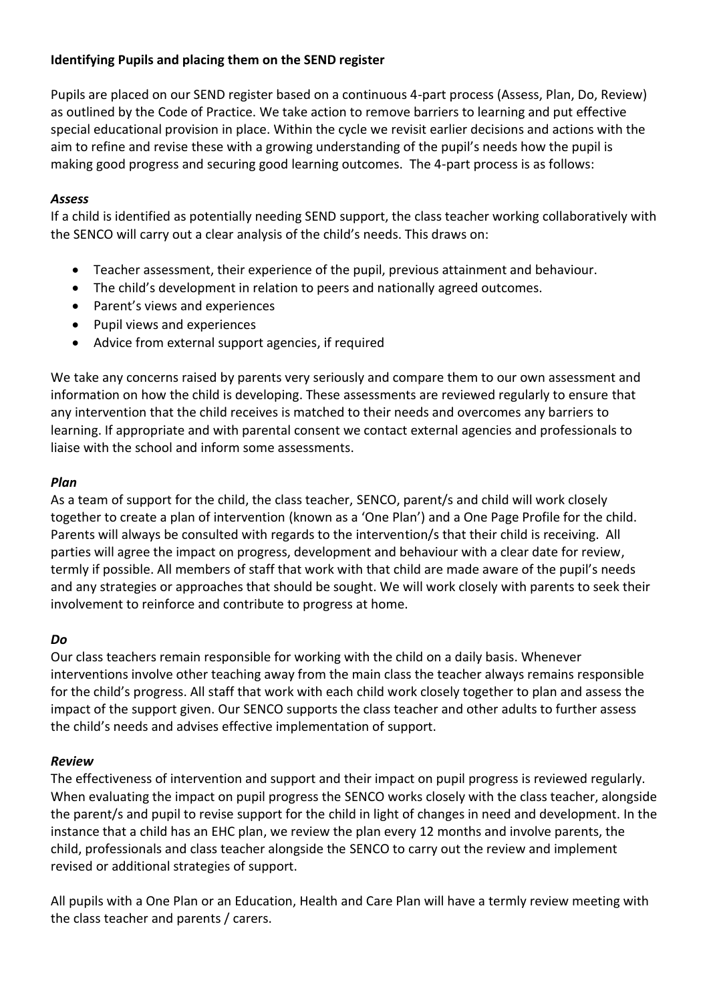# **Identifying Pupils and placing them on the SEND register**

Pupils are placed on our SEND register based on a continuous 4-part process (Assess, Plan, Do, Review) as outlined by the Code of Practice. We take action to remove barriers to learning and put effective special educational provision in place. Within the cycle we revisit earlier decisions and actions with the aim to refine and revise these with a growing understanding of the pupil's needs how the pupil is making good progress and securing good learning outcomes. The 4-part process is as follows:

## *Assess*

If a child is identified as potentially needing SEND support, the class teacher working collaboratively with the SENCO will carry out a clear analysis of the child's needs. This draws on:

- Teacher assessment, their experience of the pupil, previous attainment and behaviour.
- The child's development in relation to peers and nationally agreed outcomes.
- Parent's views and experiences
- Pupil views and experiences
- Advice from external support agencies, if required

We take any concerns raised by parents very seriously and compare them to our own assessment and information on how the child is developing. These assessments are reviewed regularly to ensure that any intervention that the child receives is matched to their needs and overcomes any barriers to learning. If appropriate and with parental consent we contact external agencies and professionals to liaise with the school and inform some assessments.

# *Plan*

As a team of support for the child, the class teacher, SENCO, parent/s and child will work closely together to create a plan of intervention (known as a 'One Plan') and a One Page Profile for the child. Parents will always be consulted with regards to the intervention/s that their child is receiving. All parties will agree the impact on progress, development and behaviour with a clear date for review, termly if possible. All members of staff that work with that child are made aware of the pupil's needs and any strategies or approaches that should be sought. We will work closely with parents to seek their involvement to reinforce and contribute to progress at home.

# *Do*

Our class teachers remain responsible for working with the child on a daily basis. Whenever interventions involve other teaching away from the main class the teacher always remains responsible for the child's progress. All staff that work with each child work closely together to plan and assess the impact of the support given. Our SENCO supports the class teacher and other adults to further assess the child's needs and advises effective implementation of support.

# *Review*

The effectiveness of intervention and support and their impact on pupil progress is reviewed regularly. When evaluating the impact on pupil progress the SENCO works closely with the class teacher, alongside the parent/s and pupil to revise support for the child in light of changes in need and development. In the instance that a child has an EHC plan, we review the plan every 12 months and involve parents, the child, professionals and class teacher alongside the SENCO to carry out the review and implement revised or additional strategies of support.

All pupils with a One Plan or an Education, Health and Care Plan will have a termly review meeting with the class teacher and parents / carers.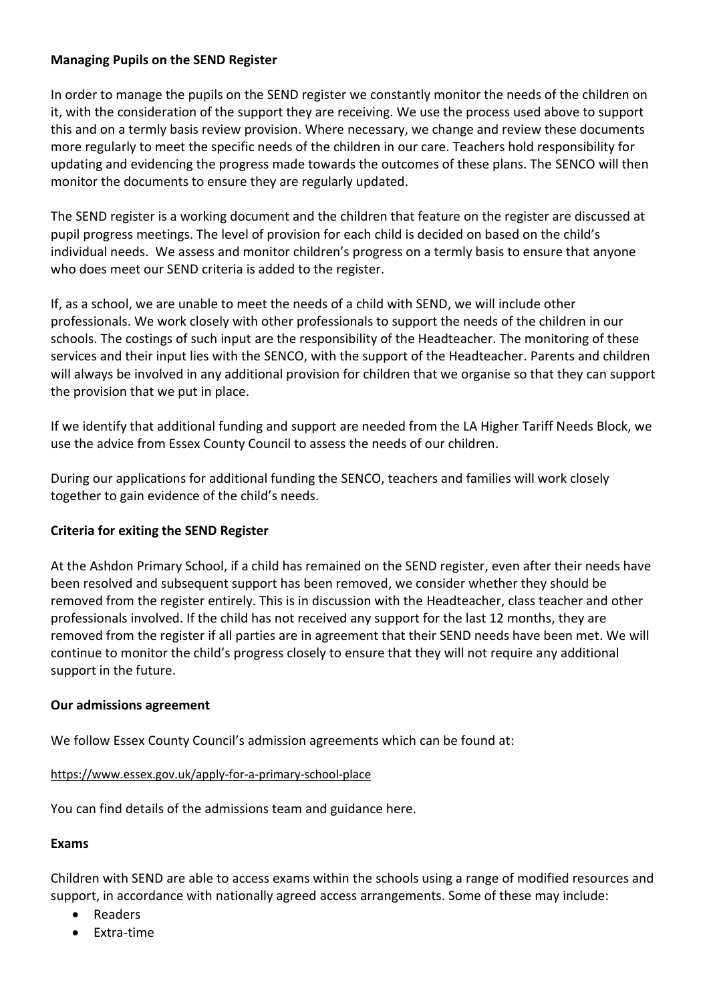#### **Managing Pupils on the SEND Register**

In order to manage the pupils on the SEND register we constantly monitor the needs of the children on it, with the consideration of the support they are receiving. We use the process used above to support this and on a termly basis review provision. Where necessary, we change and review these documents more regularly to meet the specific needs of the children in our care. Teachers hold responsibility for updating and evidencing the progress made towards the outcomes of these plans. The SENCO will then monitor the documents to ensure they are regularly updated.

The SEND register is a working document and the children that feature on the register are discussed at pupil progress meetings. The level of provision for each child is decided on based on the child's individual needs. We assess and monitor children's progress on a termly basis to ensure that anyone who does meet our SEND criteria is added to the register.

If, as a school, we are unable to meet the needs of a child with SEND, we will include other professionals. We work closely with other professionals to support the needs of the children in our schools. The costings of such input are the responsibility of the Headteacher. The monitoring of these services and their input lies with the SENCO, with the support of the Headteacher. Parents and children will always be involved in any additional provision for children that we organise so that they can support the provision that we put in place.

If we identify that additional funding and support are needed from the LA Higher Tariff Needs Block, we use the advice from Essex County Council to assess the needs of our children.

During our applications for additional funding the SENCO, teachers and families will work closely together to gain evidence of the child's needs.

#### **Criteria for exiting the SEND Register**

At the Ashdon Primary School, if a child has remained on the SEND register, even after their needs have been resolved and subsequent support has been removed, we consider whether they should be removed from the register entirely. This is in discussion with the Headteacher, class teacher and other professionals involved. If the child has not received any support for the last 12 months, they are removed from the register if all parties are in agreement that their SEND needs have been met. We will continue to monitor the child's progress closely to ensure that they will not require any additional support in the future.

#### **Our admissions agreement**

We follow Essex County Council's admission agreements which can be found at:

#### <https://www.essex.gov.uk/apply-for-a-primary-school-place>

You can find details of the admissions team and guidance here.

#### **Exams**

Children with SEND are able to access exams within the schools using a range of modified resources and support, in accordance with nationally agreed access arrangements. Some of these may include:

- Readers
- Extra-time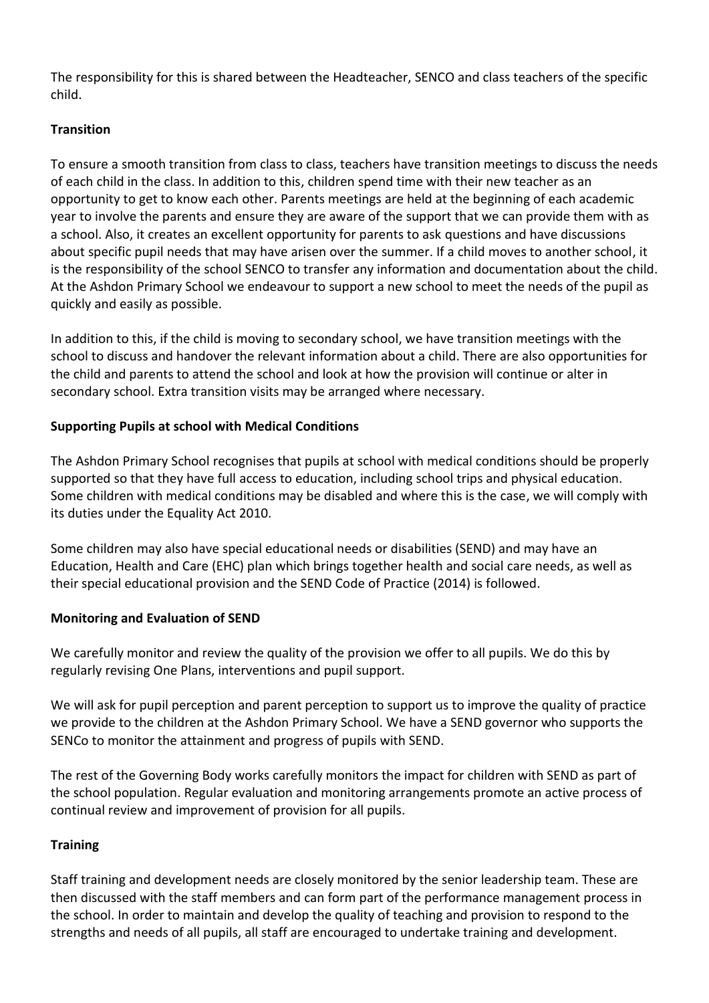The responsibility for this is shared between the Headteacher, SENCO and class teachers of the specific child.

# **Transition**

To ensure a smooth transition from class to class, teachers have transition meetings to discuss the needs of each child in the class. In addition to this, children spend time with their new teacher as an opportunity to get to know each other. Parents meetings are held at the beginning of each academic year to involve the parents and ensure they are aware of the support that we can provide them with as a school. Also, it creates an excellent opportunity for parents to ask questions and have discussions about specific pupil needs that may have arisen over the summer. If a child moves to another school, it is the responsibility of the school SENCO to transfer any information and documentation about the child. At the Ashdon Primary School we endeavour to support a new school to meet the needs of the pupil as quickly and easily as possible.

In addition to this, if the child is moving to secondary school, we have transition meetings with the school to discuss and handover the relevant information about a child. There are also opportunities for the child and parents to attend the school and look at how the provision will continue or alter in secondary school. Extra transition visits may be arranged where necessary.

# **Supporting Pupils at school with Medical Conditions**

The Ashdon Primary School recognises that pupils at school with medical conditions should be properly supported so that they have full access to education, including school trips and physical education. Some children with medical conditions may be disabled and where this is the case, we will comply with its duties under the Equality Act 2010.

Some children may also have special educational needs or disabilities (SEND) and may have an Education, Health and Care (EHC) plan which brings together health and social care needs, as well as their special educational provision and the SEND Code of Practice (2014) is followed.

#### **Monitoring and Evaluation of SEND**

We carefully monitor and review the quality of the provision we offer to all pupils. We do this by regularly revising One Plans, interventions and pupil support.

We will ask for pupil perception and parent perception to support us to improve the quality of practice we provide to the children at the Ashdon Primary School. We have a SEND governor who supports the SENCo to monitor the attainment and progress of pupils with SEND.

The rest of the Governing Body works carefully monitors the impact for children with SEND as part of the school population. Regular evaluation and monitoring arrangements promote an active process of continual review and improvement of provision for all pupils.

#### **Training**

Staff training and development needs are closely monitored by the senior leadership team. These are then discussed with the staff members and can form part of the performance management process in the school. In order to maintain and develop the quality of teaching and provision to respond to the strengths and needs of all pupils, all staff are encouraged to undertake training and development.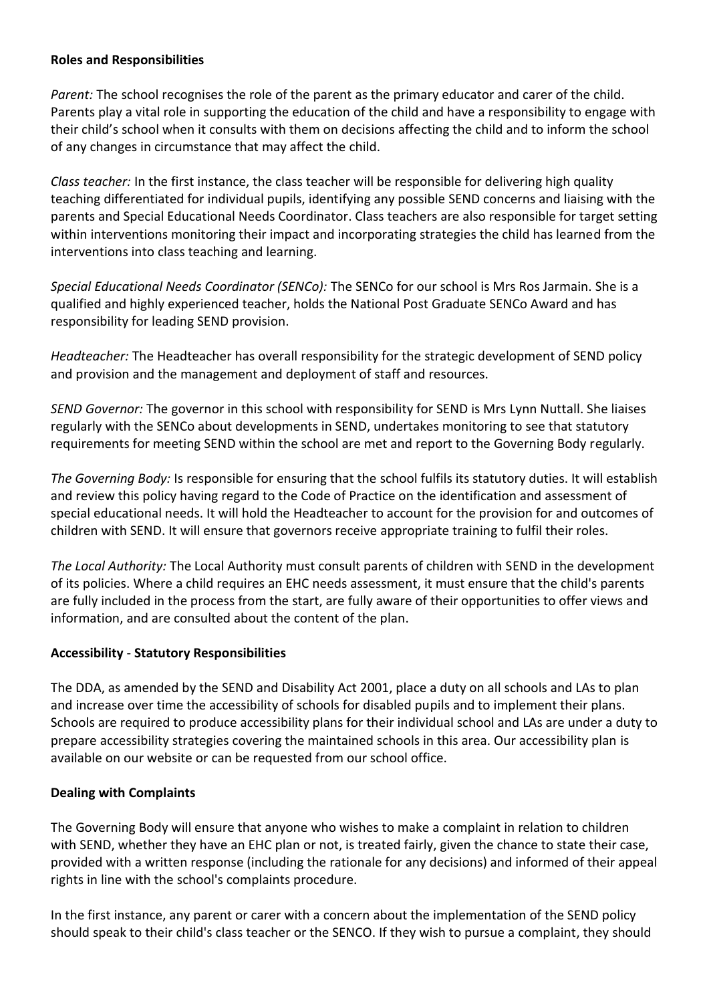#### **Roles and Responsibilities**

*Parent:* The school recognises the role of the parent as the primary educator and carer of the child. Parents play a vital role in supporting the education of the child and have a responsibility to engage with their child's school when it consults with them on decisions affecting the child and to inform the school of any changes in circumstance that may affect the child.

*Class teacher:* In the first instance, the class teacher will be responsible for delivering high quality teaching differentiated for individual pupils, identifying any possible SEND concerns and liaising with the parents and Special Educational Needs Coordinator. Class teachers are also responsible for target setting within interventions monitoring their impact and incorporating strategies the child has learned from the interventions into class teaching and learning.

*Special Educational Needs Coordinator (SENCo):* The SENCo for our school is Mrs Ros Jarmain. She is a qualified and highly experienced teacher, holds the National Post Graduate SENCo Award and has responsibility for leading SEND provision.

*Headteacher:* The Headteacher has overall responsibility for the strategic development of SEND policy and provision and the management and deployment of staff and resources.

*SEND Governor:* The governor in this school with responsibility for SEND is Mrs Lynn Nuttall. She liaises regularly with the SENCo about developments in SEND, undertakes monitoring to see that statutory requirements for meeting SEND within the school are met and report to the Governing Body regularly.

*The Governing Body:* Is responsible for ensuring that the school fulfils its statutory duties. It will establish and review this policy having regard to the Code of Practice on the identification and assessment of special educational needs. It will hold the Headteacher to account for the provision for and outcomes of children with SEND. It will ensure that governors receive appropriate training to fulfil their roles.

*The Local Authority:* The Local Authority must consult parents of children with SEND in the development of its policies. Where a child requires an EHC needs assessment, it must ensure that the child's parents are fully included in the process from the start, are fully aware of their opportunities to offer views and information, and are consulted about the content of the plan.

#### **Accessibility** - **Statutory Responsibilities**

The DDA, as amended by the SEND and Disability Act 2001, place a duty on all schools and LAs to plan and increase over time the accessibility of schools for disabled pupils and to implement their plans. Schools are required to produce accessibility plans for their individual school and LAs are under a duty to prepare accessibility strategies covering the maintained schools in this area. Our accessibility plan is available on our website or can be requested from our school office.

# **Dealing with Complaints**

The Governing Body will ensure that anyone who wishes to make a complaint in relation to children with SEND, whether they have an EHC plan or not, is treated fairly, given the chance to state their case, provided with a written response (including the rationale for any decisions) and informed of their appeal rights in line with the school's complaints procedure.

In the first instance, any parent or carer with a concern about the implementation of the SEND policy should speak to their child's class teacher or the SENCO. If they wish to pursue a complaint, they should